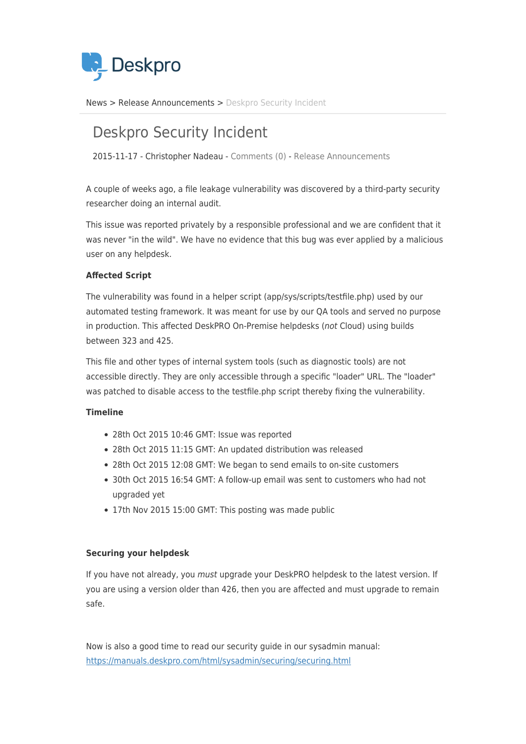

[News](https://support.deskpro.com/ro/news) > [Release Announcements](https://support.deskpro.com/ro/news/release-announcements) > [Deskpro Security Incident](https://support.deskpro.com/ro/news/posts/deskpro-security-incident)

## Deskpro Security Incident

2015-11-17 - Christopher Nadeau - [Comments \(0\)](#page--1-0) - [Release Announcements](https://support.deskpro.com/ro/news/release-announcements)

A couple of weeks ago, a file leakage vulnerability was discovered by a third-party security researcher doing an internal audit.

This issue was reported privately by a responsible professional and we are confident that it was never "in the wild". We have no evidence that this bug was ever applied by a malicious user on any helpdesk.

## **Affected Script**

The vulnerability was found in a helper script (app/sys/scripts/testfile.php) used by our automated testing framework. It was meant for use by our QA tools and served no purpose in production. This affected DeskPRO On-Premise helpdesks (not Cloud) using builds between 323 and 425.

This file and other types of internal system tools (such as diagnostic tools) are not accessible directly. They are only accessible through a specific "loader" URL. The "loader" was patched to disable access to the testfile.php script thereby fixing the vulnerability.

## **Timeline**

- 28th Oct 2015 10:46 GMT: Issue was reported
- 28th Oct 2015 11:15 GMT: An updated distribution was released
- 28th Oct 2015 12:08 GMT: We began to send emails to on-site customers
- 30th Oct 2015 16:54 GMT: A follow-up email was sent to customers who had not upgraded yet
- 17th Nov 2015 15:00 GMT: This posting was made public

## **Securing your helpdesk**

If you have not already, you must upgrade your DeskPRO helpdesk to the latest version. If you are using a version older than 426, then you are affected and must upgrade to remain safe.

Now is also a good time to read our security guide in our sysadmin manual: <https://manuals.deskpro.com/html/sysadmin/securing/securing.html>